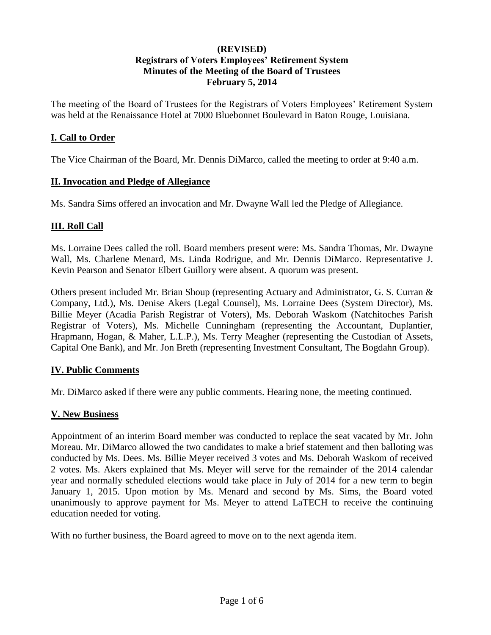## **(REVISED) Registrars of Voters Employees' Retirement System Minutes of the Meeting of the Board of Trustees February 5, 2014**

The meeting of the Board of Trustees for the Registrars of Voters Employees' Retirement System was held at the Renaissance Hotel at 7000 Bluebonnet Boulevard in Baton Rouge, Louisiana.

#### **I. Call to Order**

The Vice Chairman of the Board, Mr. Dennis DiMarco, called the meeting to order at 9:40 a.m.

#### **II. Invocation and Pledge of Allegiance**

Ms. Sandra Sims offered an invocation and Mr. Dwayne Wall led the Pledge of Allegiance.

#### **III. Roll Call**

Ms. Lorraine Dees called the roll. Board members present were: Ms. Sandra Thomas, Mr. Dwayne Wall, Ms. Charlene Menard, Ms. Linda Rodrigue, and Mr. Dennis DiMarco. Representative J. Kevin Pearson and Senator Elbert Guillory were absent. A quorum was present.

Others present included Mr. Brian Shoup (representing Actuary and Administrator, G. S. Curran & Company, Ltd.), Ms. Denise Akers (Legal Counsel), Ms. Lorraine Dees (System Director), Ms. Billie Meyer (Acadia Parish Registrar of Voters), Ms. Deborah Waskom (Natchitoches Parish Registrar of Voters), Ms. Michelle Cunningham (representing the Accountant, Duplantier, Hrapmann, Hogan, & Maher, L.L.P.), Ms. Terry Meagher (representing the Custodian of Assets, Capital One Bank), and Mr. Jon Breth (representing Investment Consultant, The Bogdahn Group).

## **IV. Public Comments**

Mr. DiMarco asked if there were any public comments. Hearing none, the meeting continued.

#### **V. New Business**

Appointment of an interim Board member was conducted to replace the seat vacated by Mr. John Moreau. Mr. DiMarco allowed the two candidates to make a brief statement and then balloting was conducted by Ms. Dees. Ms. Billie Meyer received 3 votes and Ms. Deborah Waskom of received 2 votes. Ms. Akers explained that Ms. Meyer will serve for the remainder of the 2014 calendar year and normally scheduled elections would take place in July of 2014 for a new term to begin January 1, 2015. Upon motion by Ms. Menard and second by Ms. Sims, the Board voted unanimously to approve payment for Ms. Meyer to attend LaTECH to receive the continuing education needed for voting.

With no further business, the Board agreed to move on to the next agenda item.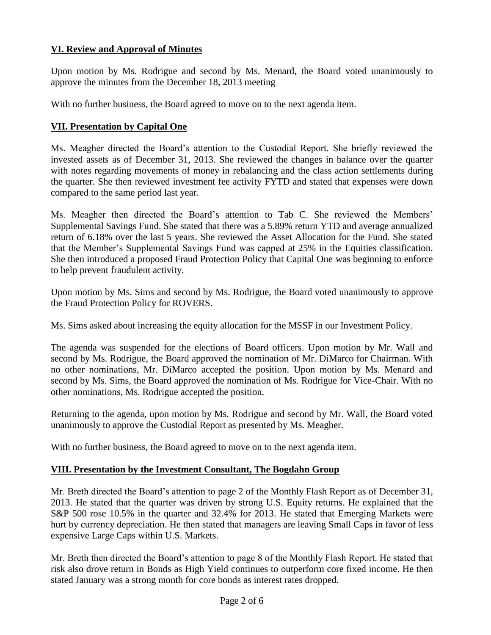# **VI. Review and Approval of Minutes**

Upon motion by Ms. Rodrigue and second by Ms. Menard, the Board voted unanimously to approve the minutes from the December 18, 2013 meeting

With no further business, the Board agreed to move on to the next agenda item.

## **VII. Presentation by Capital One**

Ms. Meagher directed the Board's attention to the Custodial Report. She briefly reviewed the invested assets as of December 31, 2013. She reviewed the changes in balance over the quarter with notes regarding movements of money in rebalancing and the class action settlements during the quarter. She then reviewed investment fee activity FYTD and stated that expenses were down compared to the same period last year.

Ms. Meagher then directed the Board's attention to Tab C. She reviewed the Members' Supplemental Savings Fund. She stated that there was a 5.89% return YTD and average annualized return of 6.18% over the last 5 years. She reviewed the Asset Allocation for the Fund. She stated that the Member's Supplemental Savings Fund was capped at 25% in the Equities classification. She then introduced a proposed Fraud Protection Policy that Capital One was beginning to enforce to help prevent fraudulent activity.

Upon motion by Ms. Sims and second by Ms. Rodrigue, the Board voted unanimously to approve the Fraud Protection Policy for ROVERS.

Ms. Sims asked about increasing the equity allocation for the MSSF in our Investment Policy.

The agenda was suspended for the elections of Board officers. Upon motion by Mr. Wall and second by Ms. Rodrigue, the Board approved the nomination of Mr. DiMarco for Chairman. With no other nominations, Mr. DiMarco accepted the position. Upon motion by Ms. Menard and second by Ms. Sims, the Board approved the nomination of Ms. Rodrigue for Vice-Chair. With no other nominations, Ms. Rodrigue accepted the position.

Returning to the agenda, upon motion by Ms. Rodrigue and second by Mr. Wall, the Board voted unanimously to approve the Custodial Report as presented by Ms. Meagher.

With no further business, the Board agreed to move on to the next agenda item.

## **VIII. Presentation by the Investment Consultant, The Bogdahn Group**

Mr. Breth directed the Board's attention to page 2 of the Monthly Flash Report as of December 31, 2013. He stated that the quarter was driven by strong U.S. Equity returns. He explained that the S&P 500 rose 10.5% in the quarter and 32.4% for 2013. He stated that Emerging Markets were hurt by currency depreciation. He then stated that managers are leaving Small Caps in favor of less expensive Large Caps within U.S. Markets.

Mr. Breth then directed the Board's attention to page 8 of the Monthly Flash Report. He stated that risk also drove return in Bonds as High Yield continues to outperform core fixed income. He then stated January was a strong month for core bonds as interest rates dropped.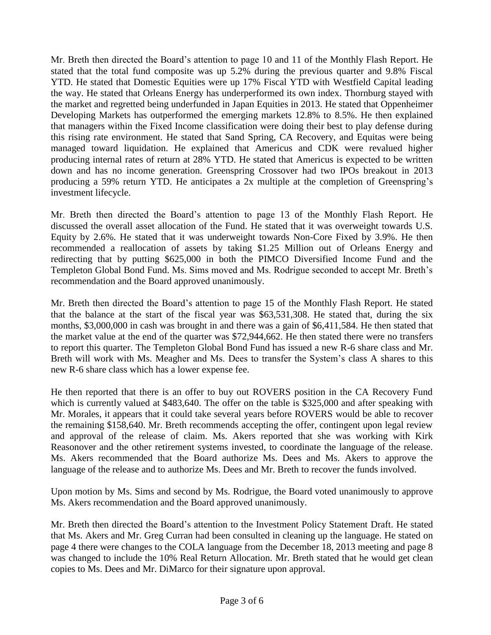Mr. Breth then directed the Board's attention to page 10 and 11 of the Monthly Flash Report. He stated that the total fund composite was up 5.2% during the previous quarter and 9.8% Fiscal YTD. He stated that Domestic Equities were up 17% Fiscal YTD with Westfield Capital leading the way. He stated that Orleans Energy has underperformed its own index. Thornburg stayed with the market and regretted being underfunded in Japan Equities in 2013. He stated that Oppenheimer Developing Markets has outperformed the emerging markets 12.8% to 8.5%. He then explained that managers within the Fixed Income classification were doing their best to play defense during this rising rate environment. He stated that Sand Spring, CA Recovery, and Equitas were being managed toward liquidation. He explained that Americus and CDK were revalued higher producing internal rates of return at 28% YTD. He stated that Americus is expected to be written down and has no income generation. Greenspring Crossover had two IPOs breakout in 2013 producing a 59% return YTD. He anticipates a 2x multiple at the completion of Greenspring's investment lifecycle.

Mr. Breth then directed the Board's attention to page 13 of the Monthly Flash Report. He discussed the overall asset allocation of the Fund. He stated that it was overweight towards U.S. Equity by 2.6%. He stated that it was underweight towards Non-Core Fixed by 3.9%. He then recommended a reallocation of assets by taking \$1.25 Million out of Orleans Energy and redirecting that by putting \$625,000 in both the PIMCO Diversified Income Fund and the Templeton Global Bond Fund. Ms. Sims moved and Ms. Rodrigue seconded to accept Mr. Breth's recommendation and the Board approved unanimously.

Mr. Breth then directed the Board's attention to page 15 of the Monthly Flash Report. He stated that the balance at the start of the fiscal year was \$63,531,308. He stated that, during the six months, \$3,000,000 in cash was brought in and there was a gain of \$6,411,584. He then stated that the market value at the end of the quarter was \$72,944,662. He then stated there were no transfers to report this quarter. The Templeton Global Bond Fund has issued a new R-6 share class and Mr. Breth will work with Ms. Meagher and Ms. Dees to transfer the System's class A shares to this new R-6 share class which has a lower expense fee.

He then reported that there is an offer to buy out ROVERS position in the CA Recovery Fund which is currently valued at \$483,640. The offer on the table is \$325,000 and after speaking with Mr. Morales, it appears that it could take several years before ROVERS would be able to recover the remaining \$158,640. Mr. Breth recommends accepting the offer, contingent upon legal review and approval of the release of claim. Ms. Akers reported that she was working with Kirk Reasonover and the other retirement systems invested, to coordinate the language of the release. Ms. Akers recommended that the Board authorize Ms. Dees and Ms. Akers to approve the language of the release and to authorize Ms. Dees and Mr. Breth to recover the funds involved.

Upon motion by Ms. Sims and second by Ms. Rodrigue, the Board voted unanimously to approve Ms. Akers recommendation and the Board approved unanimously.

Mr. Breth then directed the Board's attention to the Investment Policy Statement Draft. He stated that Ms. Akers and Mr. Greg Curran had been consulted in cleaning up the language. He stated on page 4 there were changes to the COLA language from the December 18, 2013 meeting and page 8 was changed to include the 10% Real Return Allocation. Mr. Breth stated that he would get clean copies to Ms. Dees and Mr. DiMarco for their signature upon approval.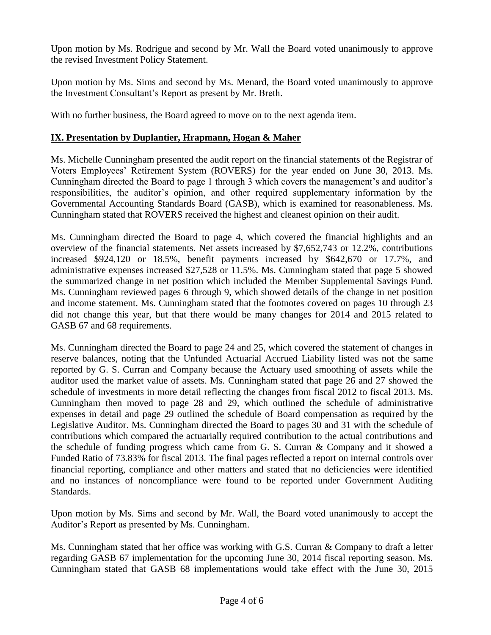Upon motion by Ms. Rodrigue and second by Mr. Wall the Board voted unanimously to approve the revised Investment Policy Statement.

Upon motion by Ms. Sims and second by Ms. Menard, the Board voted unanimously to approve the Investment Consultant's Report as present by Mr. Breth.

With no further business, the Board agreed to move on to the next agenda item.

# **IX. Presentation by Duplantier, Hrapmann, Hogan & Maher**

Ms. Michelle Cunningham presented the audit report on the financial statements of the Registrar of Voters Employees' Retirement System (ROVERS) for the year ended on June 30, 2013. Ms. Cunningham directed the Board to page 1 through 3 which covers the management's and auditor's responsibilities, the auditor's opinion, and other required supplementary information by the Governmental Accounting Standards Board (GASB), which is examined for reasonableness. Ms. Cunningham stated that ROVERS received the highest and cleanest opinion on their audit.

Ms. Cunningham directed the Board to page 4, which covered the financial highlights and an overview of the financial statements. Net assets increased by \$7,652,743 or 12.2%, contributions increased \$924,120 or 18.5%, benefit payments increased by \$642,670 or 17.7%, and administrative expenses increased \$27,528 or 11.5%. Ms. Cunningham stated that page 5 showed the summarized change in net position which included the Member Supplemental Savings Fund. Ms. Cunningham reviewed pages 6 through 9, which showed details of the change in net position and income statement. Ms. Cunningham stated that the footnotes covered on pages 10 through 23 did not change this year, but that there would be many changes for 2014 and 2015 related to GASB 67 and 68 requirements.

Ms. Cunningham directed the Board to page 24 and 25, which covered the statement of changes in reserve balances, noting that the Unfunded Actuarial Accrued Liability listed was not the same reported by G. S. Curran and Company because the Actuary used smoothing of assets while the auditor used the market value of assets. Ms. Cunningham stated that page 26 and 27 showed the schedule of investments in more detail reflecting the changes from fiscal 2012 to fiscal 2013. Ms. Cunningham then moved to page 28 and 29, which outlined the schedule of administrative expenses in detail and page 29 outlined the schedule of Board compensation as required by the Legislative Auditor. Ms. Cunningham directed the Board to pages 30 and 31 with the schedule of contributions which compared the actuarially required contribution to the actual contributions and the schedule of funding progress which came from G. S. Curran & Company and it showed a Funded Ratio of 73.83% for fiscal 2013. The final pages reflected a report on internal controls over financial reporting, compliance and other matters and stated that no deficiencies were identified and no instances of noncompliance were found to be reported under Government Auditing Standards.

Upon motion by Ms. Sims and second by Mr. Wall, the Board voted unanimously to accept the Auditor's Report as presented by Ms. Cunningham.

Ms. Cunningham stated that her office was working with G.S. Curran & Company to draft a letter regarding GASB 67 implementation for the upcoming June 30, 2014 fiscal reporting season. Ms. Cunningham stated that GASB 68 implementations would take effect with the June 30, 2015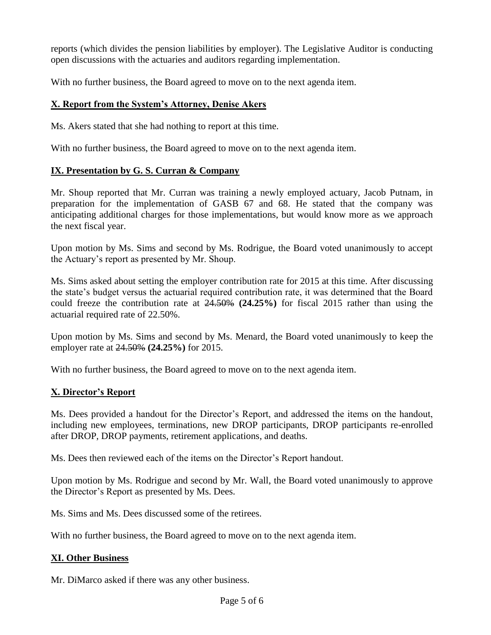reports (which divides the pension liabilities by employer). The Legislative Auditor is conducting open discussions with the actuaries and auditors regarding implementation.

With no further business, the Board agreed to move on to the next agenda item.

# **X. Report from the System's Attorney, Denise Akers**

Ms. Akers stated that she had nothing to report at this time.

With no further business, the Board agreed to move on to the next agenda item.

## **IX. Presentation by G. S. Curran & Company**

Mr. Shoup reported that Mr. Curran was training a newly employed actuary, Jacob Putnam, in preparation for the implementation of GASB 67 and 68. He stated that the company was anticipating additional charges for those implementations, but would know more as we approach the next fiscal year.

Upon motion by Ms. Sims and second by Ms. Rodrigue, the Board voted unanimously to accept the Actuary's report as presented by Mr. Shoup.

Ms. Sims asked about setting the employer contribution rate for 2015 at this time. After discussing the state's budget versus the actuarial required contribution rate, it was determined that the Board could freeze the contribution rate at 24.50% **(24.25%)** for fiscal 2015 rather than using the actuarial required rate of 22.50%.

Upon motion by Ms. Sims and second by Ms. Menard, the Board voted unanimously to keep the employer rate at 24.50% **(24.25%)** for 2015.

With no further business, the Board agreed to move on to the next agenda item.

## **X. Director's Report**

Ms. Dees provided a handout for the Director's Report, and addressed the items on the handout, including new employees, terminations, new DROP participants, DROP participants re-enrolled after DROP, DROP payments, retirement applications, and deaths.

Ms. Dees then reviewed each of the items on the Director's Report handout.

Upon motion by Ms. Rodrigue and second by Mr. Wall, the Board voted unanimously to approve the Director's Report as presented by Ms. Dees.

Ms. Sims and Ms. Dees discussed some of the retirees.

With no further business, the Board agreed to move on to the next agenda item.

## **XI. Other Business**

Mr. DiMarco asked if there was any other business.